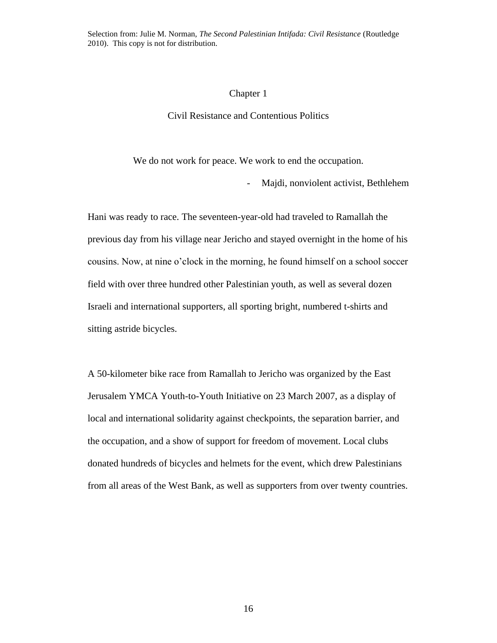Selection from: Julie M. Norman, *The Second Palestinian Intifada: Civil Resistance* (Routledge 2010). This copy is not for distribution.

#### Chapter 1

## Civil Resistance and Contentious Politics

We do not work for peace. We work to end the occupation.

- Majdi, nonviolent activist, Bethlehem

Hani was ready to race. The seventeen-year-old had traveled to Ramallah the previous day from his village near Jericho and stayed overnight in the home of his cousins. Now, at nine o'clock in the morning, he found himself on a school soccer field with over three hundred other Palestinian youth, as well as several dozen Israeli and international supporters, all sporting bright, numbered t-shirts and sitting astride bicycles.

A 50-kilometer bike race from Ramallah to Jericho was organized by the East Jerusalem YMCA Youth-to-Youth Initiative on 23 March 2007, as a display of local and international solidarity against checkpoints, the separation barrier, and the occupation, and a show of support for freedom of movement. Local clubs donated hundreds of bicycles and helmets for the event, which drew Palestinians from all areas of the West Bank, as well as supporters from over twenty countries.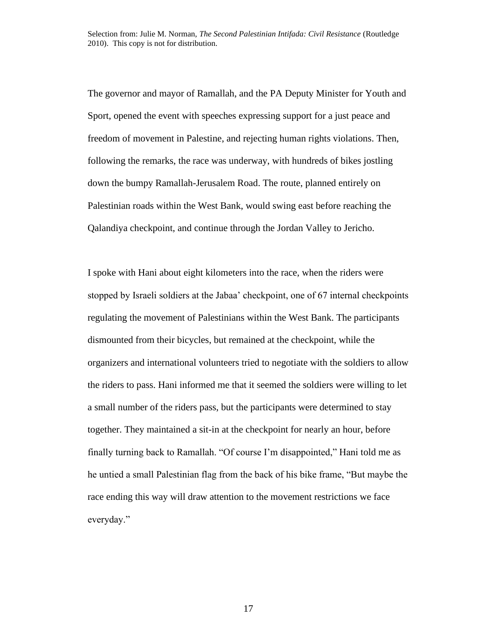The governor and mayor of Ramallah, and the PA Deputy Minister for Youth and Sport, opened the event with speeches expressing support for a just peace and freedom of movement in Palestine, and rejecting human rights violations. Then, following the remarks, the race was underway, with hundreds of bikes jostling down the bumpy Ramallah-Jerusalem Road. The route, planned entirely on Palestinian roads within the West Bank, would swing east before reaching the Qalandiya checkpoint, and continue through the Jordan Valley to Jericho.

I spoke with Hani about eight kilometers into the race, when the riders were stopped by Israeli soldiers at the Jabaa' checkpoint, one of 67 internal checkpoints regulating the movement of Palestinians within the West Bank. The participants dismounted from their bicycles, but remained at the checkpoint, while the organizers and international volunteers tried to negotiate with the soldiers to allow the riders to pass. Hani informed me that it seemed the soldiers were willing to let a small number of the riders pass, but the participants were determined to stay together. They maintained a sit-in at the checkpoint for nearly an hour, before finally turning back to Ramallah. "Of course I'm disappointed," Hani told me as he untied a small Palestinian flag from the back of his bike frame, "But maybe the race ending this way will draw attention to the movement restrictions we face everyday."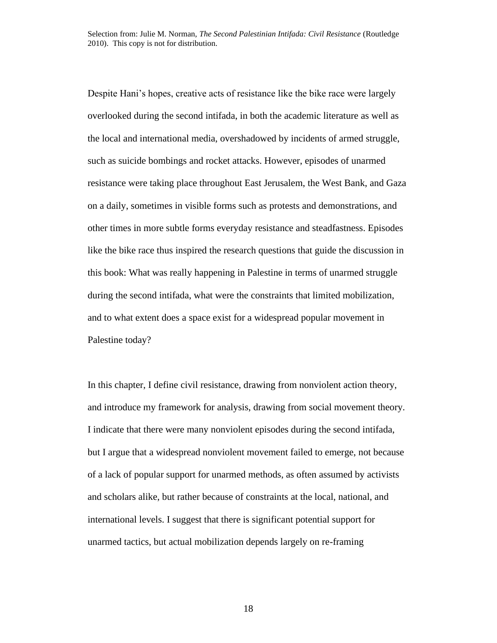Despite Hani's hopes, creative acts of resistance like the bike race were largely overlooked during the second intifada, in both the academic literature as well as the local and international media, overshadowed by incidents of armed struggle, such as suicide bombings and rocket attacks. However, episodes of unarmed resistance were taking place throughout East Jerusalem, the West Bank, and Gaza on a daily, sometimes in visible forms such as protests and demonstrations, and other times in more subtle forms everyday resistance and steadfastness. Episodes like the bike race thus inspired the research questions that guide the discussion in this book: What was really happening in Palestine in terms of unarmed struggle during the second intifada, what were the constraints that limited mobilization, and to what extent does a space exist for a widespread popular movement in Palestine today?

In this chapter, I define civil resistance, drawing from nonviolent action theory, and introduce my framework for analysis, drawing from social movement theory. I indicate that there were many nonviolent episodes during the second intifada, but I argue that a widespread nonviolent movement failed to emerge, not because of a lack of popular support for unarmed methods, as often assumed by activists and scholars alike, but rather because of constraints at the local, national, and international levels. I suggest that there is significant potential support for unarmed tactics, but actual mobilization depends largely on re-framing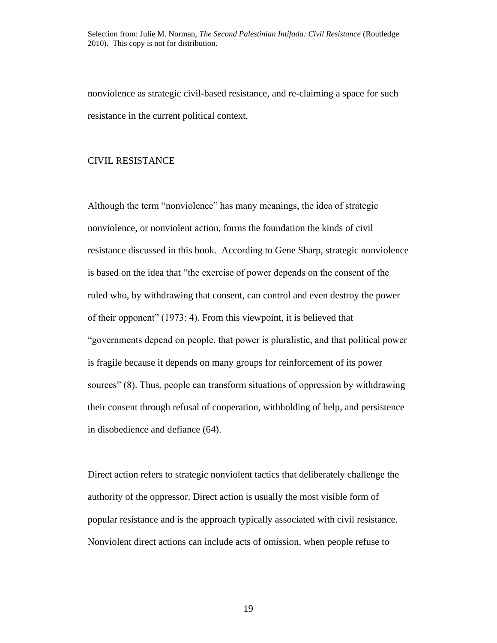nonviolence as strategic civil-based resistance, and re-claiming a space for such resistance in the current political context.

# CIVIL RESISTANCE

Although the term "nonviolence" has many meanings, the idea of strategic nonviolence, or nonviolent action, forms the foundation the kinds of civil resistance discussed in this book. According to Gene Sharp, strategic nonviolence is based on the idea that "the exercise of power depends on the consent of the ruled who, by withdrawing that consent, can control and even destroy the power of their opponent" (1973: 4). From this viewpoint, it is believed that "governments depend on people, that power is pluralistic, and that political power is fragile because it depends on many groups for reinforcement of its power sources" (8). Thus, people can transform situations of oppression by withdrawing their consent through refusal of cooperation, withholding of help, and persistence in disobedience and defiance (64).

Direct action refers to strategic nonviolent tactics that deliberately challenge the authority of the oppressor. Direct action is usually the most visible form of popular resistance and is the approach typically associated with civil resistance. Nonviolent direct actions can include acts of omission, when people refuse to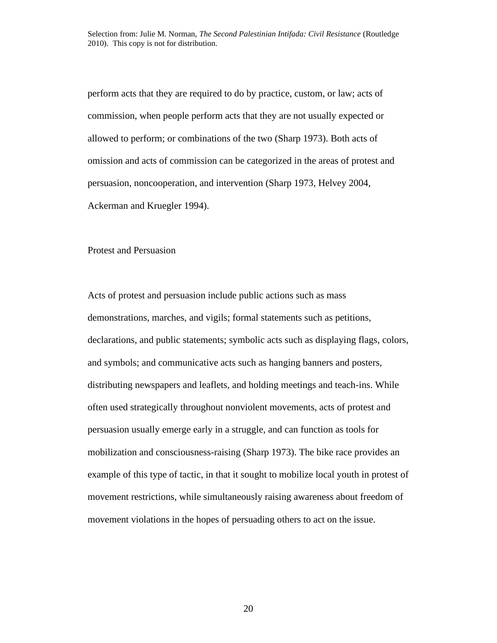perform acts that they are required to do by practice, custom, or law; acts of commission, when people perform acts that they are not usually expected or allowed to perform; or combinations of the two (Sharp 1973). Both acts of omission and acts of commission can be categorized in the areas of protest and persuasion, noncooperation, and intervention (Sharp 1973, Helvey 2004, Ackerman and Kruegler 1994).

#### Protest and Persuasion

Acts of protest and persuasion include public actions such as mass demonstrations, marches, and vigils; formal statements such as petitions, declarations, and public statements; symbolic acts such as displaying flags, colors, and symbols; and communicative acts such as hanging banners and posters, distributing newspapers and leaflets, and holding meetings and teach-ins. While often used strategically throughout nonviolent movements, acts of protest and persuasion usually emerge early in a struggle, and can function as tools for mobilization and consciousness-raising (Sharp 1973). The bike race provides an example of this type of tactic, in that it sought to mobilize local youth in protest of movement restrictions, while simultaneously raising awareness about freedom of movement violations in the hopes of persuading others to act on the issue.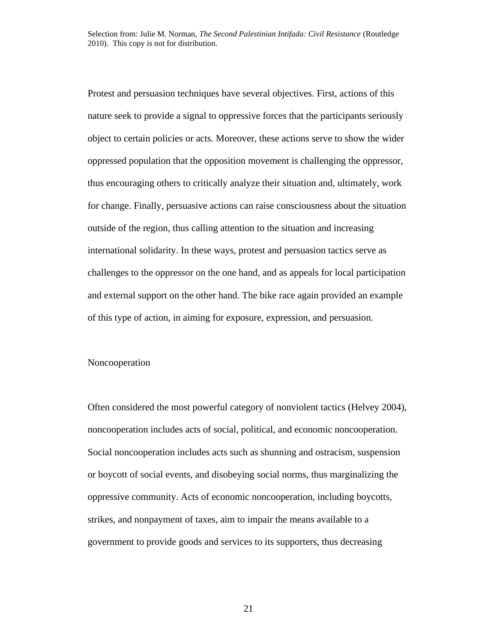Protest and persuasion techniques have several objectives. First, actions of this nature seek to provide a signal to oppressive forces that the participants seriously object to certain policies or acts. Moreover, these actions serve to show the wider oppressed population that the opposition movement is challenging the oppressor, thus encouraging others to critically analyze their situation and, ultimately, work for change. Finally, persuasive actions can raise consciousness about the situation outside of the region, thus calling attention to the situation and increasing international solidarity. In these ways, protest and persuasion tactics serve as challenges to the oppressor on the one hand, and as appeals for local participation and external support on the other hand. The bike race again provided an example of this type of action, in aiming for exposure, expression, and persuasion.

#### Noncooperation

Often considered the most powerful category of nonviolent tactics (Helvey 2004), noncooperation includes acts of social, political, and economic noncooperation. Social noncooperation includes acts such as shunning and ostracism, suspension or boycott of social events, and disobeying social norms, thus marginalizing the oppressive community. Acts of economic noncooperation, including boycotts, strikes, and nonpayment of taxes, aim to impair the means available to a government to provide goods and services to its supporters, thus decreasing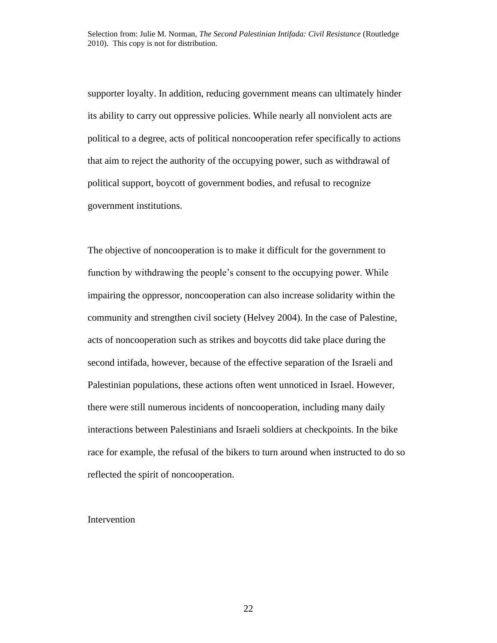supporter loyalty. In addition, reducing government means can ultimately hinder its ability to carry out oppressive policies. While nearly all nonviolent acts are political to a degree, acts of political noncooperation refer specifically to actions that aim to reject the authority of the occupying power, such as withdrawal of political support, boycott of government bodies, and refusal to recognize government institutions.

The objective of noncooperation is to make it difficult for the government to function by withdrawing the people's consent to the occupying power. While impairing the oppressor, noncooperation can also increase solidarity within the community and strengthen civil society (Helvey 2004). In the case of Palestine, acts of noncooperation such as strikes and boycotts did take place during the second intifada, however, because of the effective separation of the Israeli and Palestinian populations, these actions often went unnoticed in Israel. However, there were still numerous incidents of noncooperation, including many daily interactions between Palestinians and Israeli soldiers at checkpoints. In the bike race for example, the refusal of the bikers to turn around when instructed to do so reflected the spirit of noncooperation.

### Intervention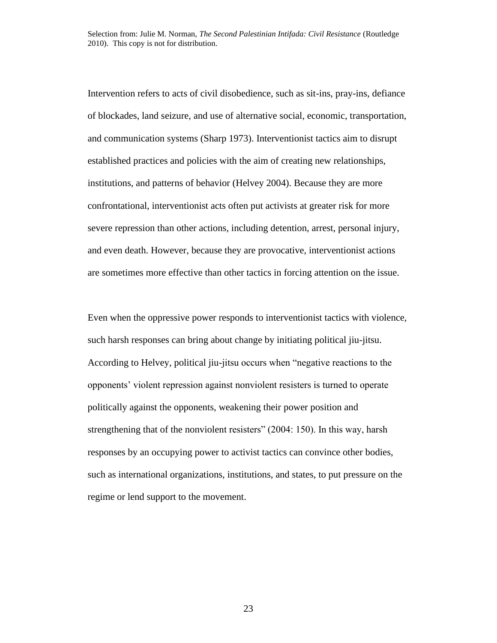Intervention refers to acts of civil disobedience, such as sit-ins, pray-ins, defiance of blockades, land seizure, and use of alternative social, economic, transportation, and communication systems (Sharp 1973). Interventionist tactics aim to disrupt established practices and policies with the aim of creating new relationships, institutions, and patterns of behavior (Helvey 2004). Because they are more confrontational, interventionist acts often put activists at greater risk for more severe repression than other actions, including detention, arrest, personal injury, and even death. However, because they are provocative, interventionist actions are sometimes more effective than other tactics in forcing attention on the issue.

Even when the oppressive power responds to interventionist tactics with violence, such harsh responses can bring about change by initiating political jiu-jitsu. According to Helvey, political jiu-jitsu occurs when "negative reactions to the opponents' violent repression against nonviolent resisters is turned to operate politically against the opponents, weakening their power position and strengthening that of the nonviolent resisters" (2004: 150). In this way, harsh responses by an occupying power to activist tactics can convince other bodies, such as international organizations, institutions, and states, to put pressure on the regime or lend support to the movement.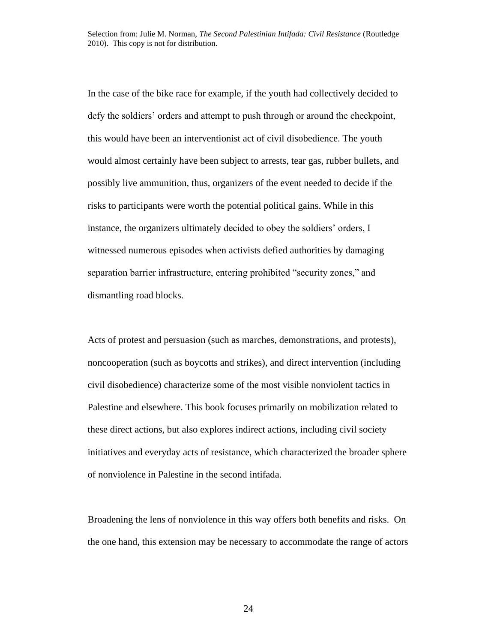In the case of the bike race for example, if the youth had collectively decided to defy the soldiers' orders and attempt to push through or around the checkpoint, this would have been an interventionist act of civil disobedience. The youth would almost certainly have been subject to arrests, tear gas, rubber bullets, and possibly live ammunition, thus, organizers of the event needed to decide if the risks to participants were worth the potential political gains. While in this instance, the organizers ultimately decided to obey the soldiers' orders, I witnessed numerous episodes when activists defied authorities by damaging separation barrier infrastructure, entering prohibited "security zones," and dismantling road blocks.

Acts of protest and persuasion (such as marches, demonstrations, and protests), noncooperation (such as boycotts and strikes), and direct intervention (including civil disobedience) characterize some of the most visible nonviolent tactics in Palestine and elsewhere. This book focuses primarily on mobilization related to these direct actions, but also explores indirect actions, including civil society initiatives and everyday acts of resistance, which characterized the broader sphere of nonviolence in Palestine in the second intifada.

Broadening the lens of nonviolence in this way offers both benefits and risks. On the one hand, this extension may be necessary to accommodate the range of actors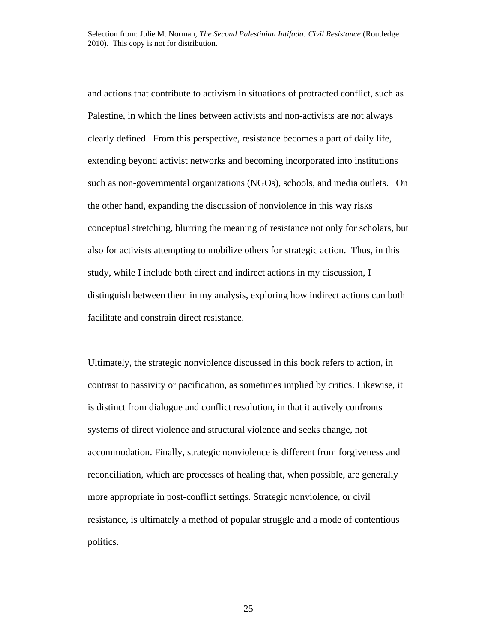and actions that contribute to activism in situations of protracted conflict, such as Palestine, in which the lines between activists and non-activists are not always clearly defined. From this perspective, resistance becomes a part of daily life, extending beyond activist networks and becoming incorporated into institutions such as non-governmental organizations (NGOs), schools, and media outlets. On the other hand, expanding the discussion of nonviolence in this way risks conceptual stretching, blurring the meaning of resistance not only for scholars, but also for activists attempting to mobilize others for strategic action. Thus, in this study, while I include both direct and indirect actions in my discussion, I distinguish between them in my analysis, exploring how indirect actions can both facilitate and constrain direct resistance.

Ultimately, the strategic nonviolence discussed in this book refers to action, in contrast to passivity or pacification, as sometimes implied by critics. Likewise, it is distinct from dialogue and conflict resolution, in that it actively confronts systems of direct violence and structural violence and seeks change, not accommodation. Finally, strategic nonviolence is different from forgiveness and reconciliation, which are processes of healing that, when possible, are generally more appropriate in post-conflict settings. Strategic nonviolence, or civil resistance, is ultimately a method of popular struggle and a mode of contentious politics.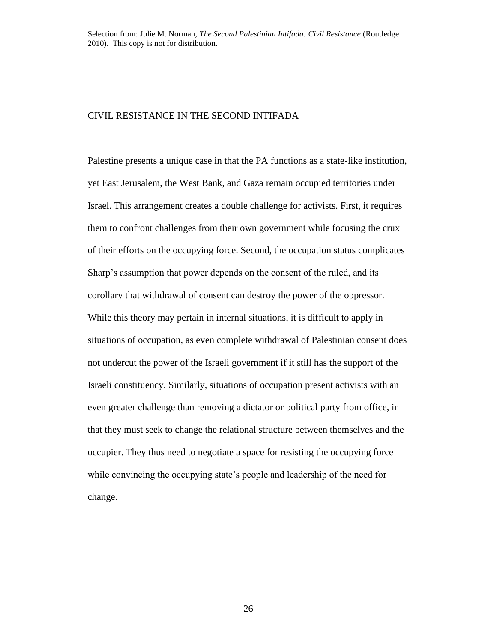## CIVIL RESISTANCE IN THE SECOND INTIFADA

Palestine presents a unique case in that the PA functions as a state-like institution, yet East Jerusalem, the West Bank, and Gaza remain occupied territories under Israel. This arrangement creates a double challenge for activists. First, it requires them to confront challenges from their own government while focusing the crux of their efforts on the occupying force. Second, the occupation status complicates Sharp's assumption that power depends on the consent of the ruled, and its corollary that withdrawal of consent can destroy the power of the oppressor. While this theory may pertain in internal situations, it is difficult to apply in situations of occupation, as even complete withdrawal of Palestinian consent does not undercut the power of the Israeli government if it still has the support of the Israeli constituency. Similarly, situations of occupation present activists with an even greater challenge than removing a dictator or political party from office, in that they must seek to change the relational structure between themselves and the occupier. They thus need to negotiate a space for resisting the occupying force while convincing the occupying state's people and leadership of the need for change.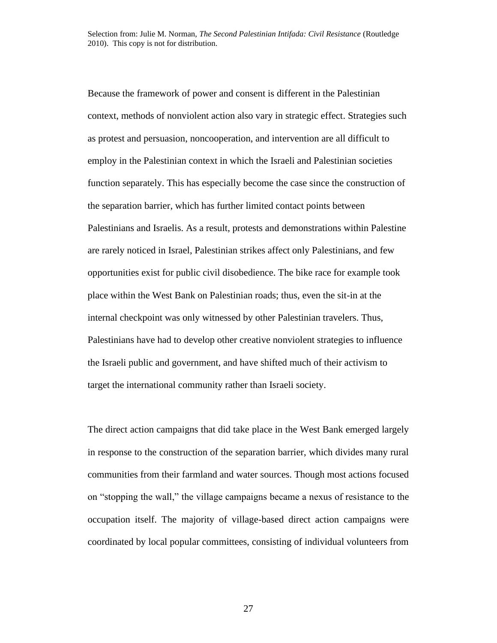Because the framework of power and consent is different in the Palestinian context, methods of nonviolent action also vary in strategic effect. Strategies such as protest and persuasion, noncooperation, and intervention are all difficult to employ in the Palestinian context in which the Israeli and Palestinian societies function separately. This has especially become the case since the construction of the separation barrier, which has further limited contact points between Palestinians and Israelis. As a result, protests and demonstrations within Palestine are rarely noticed in Israel, Palestinian strikes affect only Palestinians, and few opportunities exist for public civil disobedience. The bike race for example took place within the West Bank on Palestinian roads; thus, even the sit-in at the internal checkpoint was only witnessed by other Palestinian travelers. Thus, Palestinians have had to develop other creative nonviolent strategies to influence the Israeli public and government, and have shifted much of their activism to target the international community rather than Israeli society.

The direct action campaigns that did take place in the West Bank emerged largely in response to the construction of the separation barrier, which divides many rural communities from their farmland and water sources. Though most actions focused on "stopping the wall," the village campaigns became a nexus of resistance to the occupation itself. The majority of village-based direct action campaigns were coordinated by local popular committees, consisting of individual volunteers from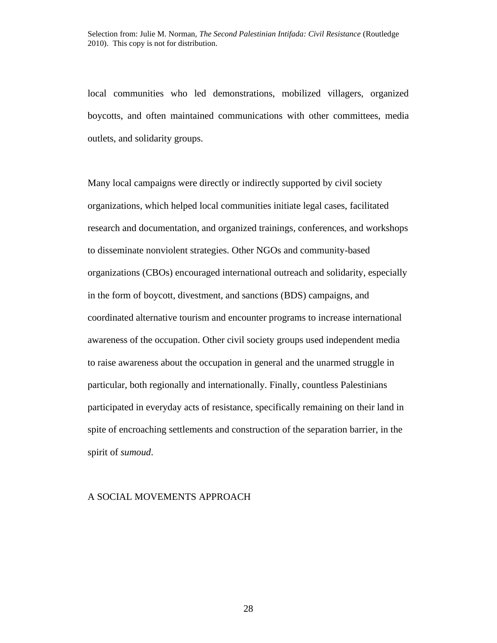local communities who led demonstrations, mobilized villagers, organized boycotts, and often maintained communications with other committees, media outlets, and solidarity groups.

Many local campaigns were directly or indirectly supported by civil society organizations, which helped local communities initiate legal cases, facilitated research and documentation, and organized trainings, conferences, and workshops to disseminate nonviolent strategies. Other NGOs and community-based organizations (CBOs) encouraged international outreach and solidarity, especially in the form of boycott, divestment, and sanctions (BDS) campaigns, and coordinated alternative tourism and encounter programs to increase international awareness of the occupation. Other civil society groups used independent media to raise awareness about the occupation in general and the unarmed struggle in particular, both regionally and internationally. Finally, countless Palestinians participated in everyday acts of resistance, specifically remaining on their land in spite of encroaching settlements and construction of the separation barrier, in the spirit of *sumoud*.

#### A SOCIAL MOVEMENTS APPROACH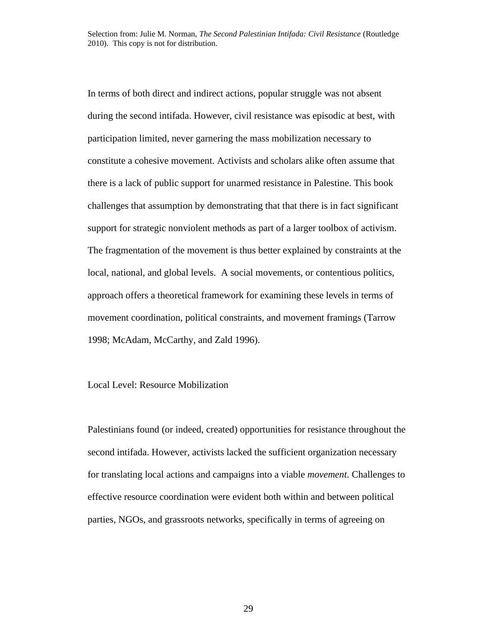In terms of both direct and indirect actions, popular struggle was not absent during the second intifada. However, civil resistance was episodic at best, with participation limited, never garnering the mass mobilization necessary to constitute a cohesive movement. Activists and scholars alike often assume that there is a lack of public support for unarmed resistance in Palestine. This book challenges that assumption by demonstrating that that there is in fact significant support for strategic nonviolent methods as part of a larger toolbox of activism. The fragmentation of the movement is thus better explained by constraints at the local, national, and global levels. A social movements, or contentious politics, approach offers a theoretical framework for examining these levels in terms of movement coordination, political constraints, and movement framings (Tarrow 1998; McAdam, McCarthy, and Zald 1996).

## Local Level: Resource Mobilization

Palestinians found (or indeed, created) opportunities for resistance throughout the second intifada. However, activists lacked the sufficient organization necessary for translating local actions and campaigns into a viable *movement*. Challenges to effective resource coordination were evident both within and between political parties, NGOs, and grassroots networks, specifically in terms of agreeing on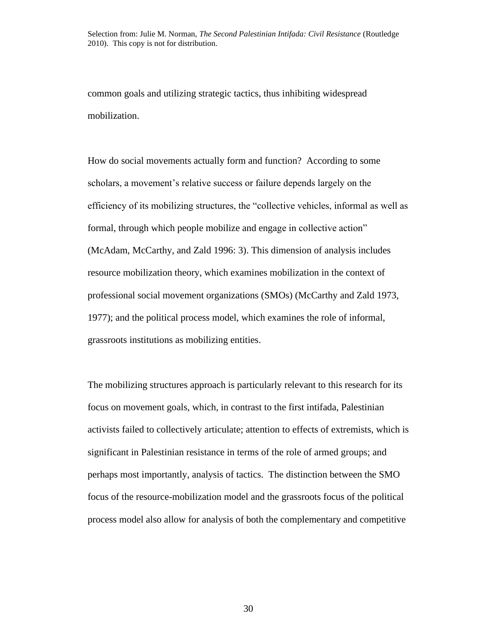common goals and utilizing strategic tactics, thus inhibiting widespread mobilization.

How do social movements actually form and function? According to some scholars, a movement's relative success or failure depends largely on the efficiency of its mobilizing structures, the "collective vehicles, informal as well as formal, through which people mobilize and engage in collective action" (McAdam, McCarthy, and Zald 1996: 3). This dimension of analysis includes resource mobilization theory, which examines mobilization in the context of professional social movement organizations (SMOs) (McCarthy and Zald 1973, 1977); and the political process model, which examines the role of informal, grassroots institutions as mobilizing entities.

The mobilizing structures approach is particularly relevant to this research for its focus on movement goals, which, in contrast to the first intifada, Palestinian activists failed to collectively articulate; attention to effects of extremists, which is significant in Palestinian resistance in terms of the role of armed groups; and perhaps most importantly, analysis of tactics. The distinction between the SMO focus of the resource-mobilization model and the grassroots focus of the political process model also allow for analysis of both the complementary and competitive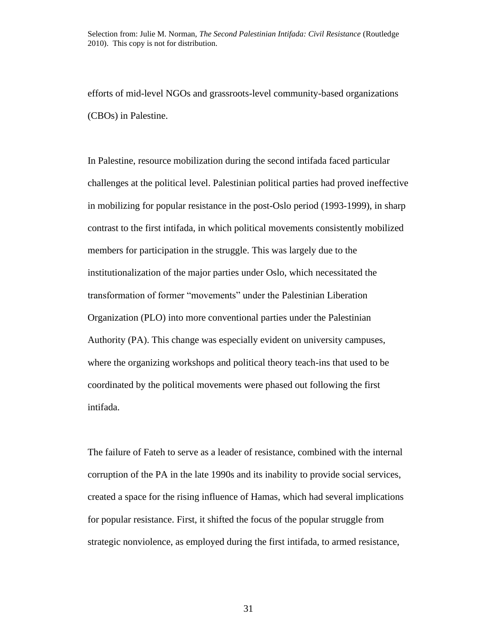efforts of mid-level NGOs and grassroots-level community-based organizations (CBOs) in Palestine.

In Palestine, resource mobilization during the second intifada faced particular challenges at the political level. Palestinian political parties had proved ineffective in mobilizing for popular resistance in the post-Oslo period (1993-1999), in sharp contrast to the first intifada, in which political movements consistently mobilized members for participation in the struggle. This was largely due to the institutionalization of the major parties under Oslo, which necessitated the transformation of former "movements" under the Palestinian Liberation Organization (PLO) into more conventional parties under the Palestinian Authority (PA). This change was especially evident on university campuses, where the organizing workshops and political theory teach-ins that used to be coordinated by the political movements were phased out following the first intifada.

The failure of Fateh to serve as a leader of resistance, combined with the internal corruption of the PA in the late 1990s and its inability to provide social services, created a space for the rising influence of Hamas, which had several implications for popular resistance. First, it shifted the focus of the popular struggle from strategic nonviolence, as employed during the first intifada, to armed resistance,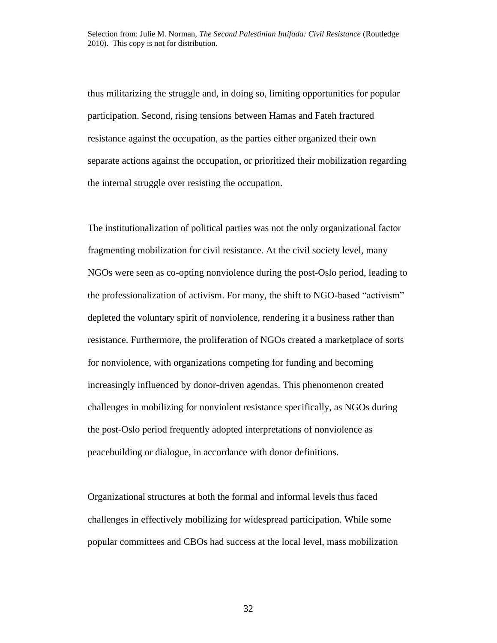thus militarizing the struggle and, in doing so, limiting opportunities for popular participation. Second, rising tensions between Hamas and Fateh fractured resistance against the occupation, as the parties either organized their own separate actions against the occupation, or prioritized their mobilization regarding the internal struggle over resisting the occupation.

The institutionalization of political parties was not the only organizational factor fragmenting mobilization for civil resistance. At the civil society level, many NGOs were seen as co-opting nonviolence during the post-Oslo period, leading to the professionalization of activism. For many, the shift to NGO-based "activism" depleted the voluntary spirit of nonviolence, rendering it a business rather than resistance. Furthermore, the proliferation of NGOs created a marketplace of sorts for nonviolence, with organizations competing for funding and becoming increasingly influenced by donor-driven agendas. This phenomenon created challenges in mobilizing for nonviolent resistance specifically, as NGOs during the post-Oslo period frequently adopted interpretations of nonviolence as peacebuilding or dialogue, in accordance with donor definitions.

Organizational structures at both the formal and informal levels thus faced challenges in effectively mobilizing for widespread participation. While some popular committees and CBOs had success at the local level, mass mobilization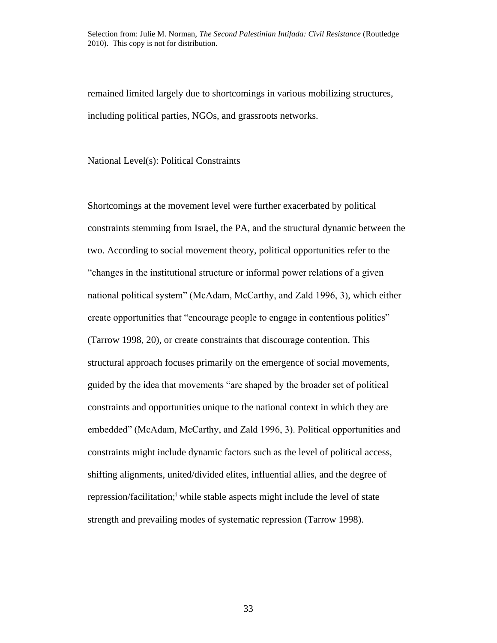remained limited largely due to shortcomings in various mobilizing structures, including political parties, NGOs, and grassroots networks.

National Level(s): Political Constraints

Shortcomings at the movement level were further exacerbated by political constraints stemming from Israel, the PA, and the structural dynamic between the two. According to social movement theory, political opportunities refer to the "changes in the institutional structure or informal power relations of a given national political system" (McAdam, McCarthy, and Zald 1996, 3), which either create opportunities that "encourage people to engage in contentious politics" (Tarrow 1998, 20), or create constraints that discourage contention. This structural approach focuses primarily on the emergence of social movements, guided by the idea that movements "are shaped by the broader set of political constraints and opportunities unique to the national context in which they are embedded" (McAdam, McCarthy, and Zald 1996, 3). Political opportunities and constraints might include dynamic factors such as the level of political access, shifting alignments, united/divided elites, influential allies, and the degree of repression/facilitation;<sup>i</sup> while stable aspects might include the level of state strength and prevailing modes of systematic repression (Tarrow 1998).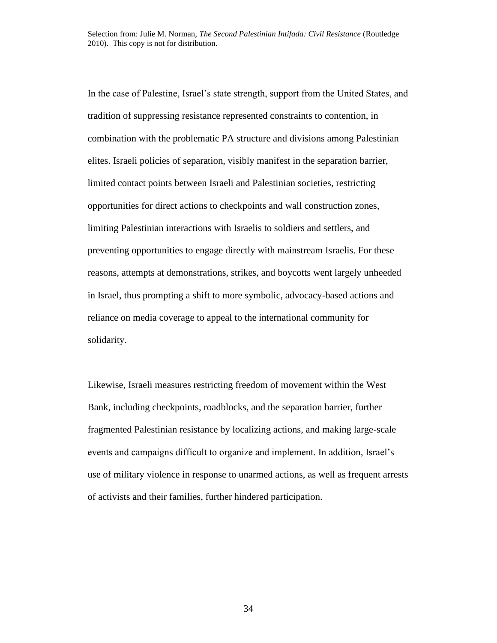In the case of Palestine, Israel's state strength, support from the United States, and tradition of suppressing resistance represented constraints to contention, in combination with the problematic PA structure and divisions among Palestinian elites. Israeli policies of separation, visibly manifest in the separation barrier, limited contact points between Israeli and Palestinian societies, restricting opportunities for direct actions to checkpoints and wall construction zones, limiting Palestinian interactions with Israelis to soldiers and settlers, and preventing opportunities to engage directly with mainstream Israelis. For these reasons, attempts at demonstrations, strikes, and boycotts went largely unheeded in Israel, thus prompting a shift to more symbolic, advocacy-based actions and reliance on media coverage to appeal to the international community for solidarity.

Likewise, Israeli measures restricting freedom of movement within the West Bank, including checkpoints, roadblocks, and the separation barrier, further fragmented Palestinian resistance by localizing actions, and making large-scale events and campaigns difficult to organize and implement. In addition, Israel's use of military violence in response to unarmed actions, as well as frequent arrests of activists and their families, further hindered participation.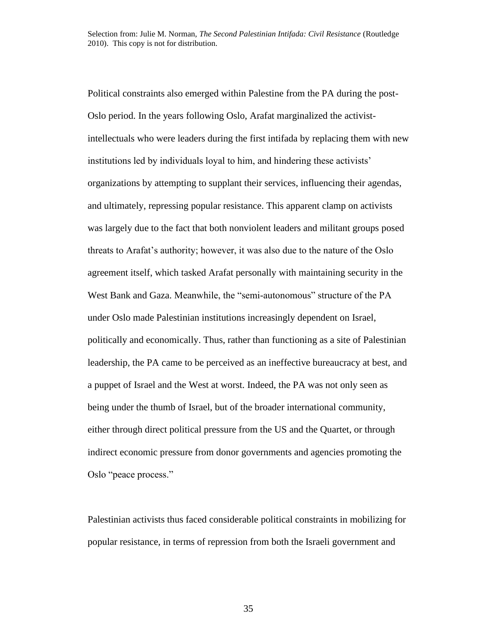Political constraints also emerged within Palestine from the PA during the post-Oslo period. In the years following Oslo, Arafat marginalized the activistintellectuals who were leaders during the first intifada by replacing them with new institutions led by individuals loyal to him, and hindering these activists' organizations by attempting to supplant their services, influencing their agendas, and ultimately, repressing popular resistance. This apparent clamp on activists was largely due to the fact that both nonviolent leaders and militant groups posed threats to Arafat's authority; however, it was also due to the nature of the Oslo agreement itself, which tasked Arafat personally with maintaining security in the West Bank and Gaza. Meanwhile, the "semi-autonomous" structure of the PA under Oslo made Palestinian institutions increasingly dependent on Israel, politically and economically. Thus, rather than functioning as a site of Palestinian leadership, the PA came to be perceived as an ineffective bureaucracy at best, and a puppet of Israel and the West at worst. Indeed, the PA was not only seen as being under the thumb of Israel, but of the broader international community, either through direct political pressure from the US and the Quartet, or through indirect economic pressure from donor governments and agencies promoting the Oslo "peace process."

Palestinian activists thus faced considerable political constraints in mobilizing for popular resistance, in terms of repression from both the Israeli government and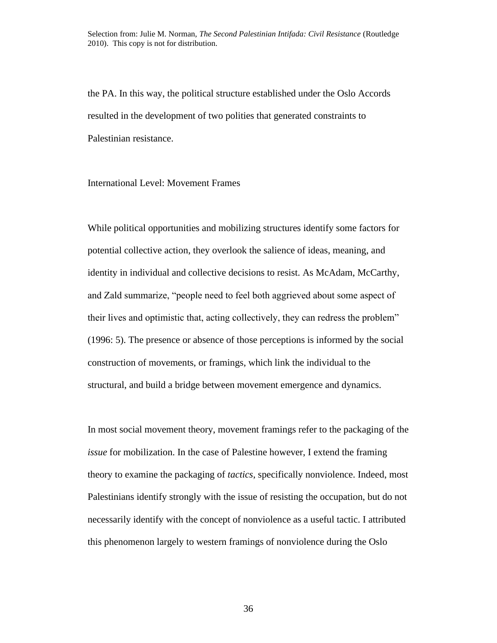the PA. In this way, the political structure established under the Oslo Accords resulted in the development of two polities that generated constraints to Palestinian resistance.

International Level: Movement Frames

While political opportunities and mobilizing structures identify some factors for potential collective action, they overlook the salience of ideas, meaning, and identity in individual and collective decisions to resist. As McAdam, McCarthy, and Zald summarize, "people need to feel both aggrieved about some aspect of their lives and optimistic that, acting collectively, they can redress the problem" (1996: 5). The presence or absence of those perceptions is informed by the social construction of movements, or framings, which link the individual to the structural, and build a bridge between movement emergence and dynamics.

In most social movement theory, movement framings refer to the packaging of the *issue* for mobilization. In the case of Palestine however, I extend the framing theory to examine the packaging of *tactics*, specifically nonviolence. Indeed, most Palestinians identify strongly with the issue of resisting the occupation, but do not necessarily identify with the concept of nonviolence as a useful tactic. I attributed this phenomenon largely to western framings of nonviolence during the Oslo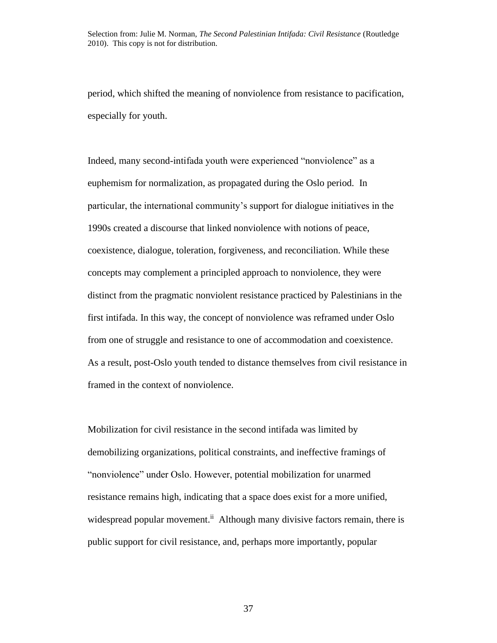period, which shifted the meaning of nonviolence from resistance to pacification, especially for youth.

Indeed, many second-intifada youth were experienced "nonviolence" as a euphemism for normalization, as propagated during the Oslo period. In particular, the international community's support for dialogue initiatives in the 1990s created a discourse that linked nonviolence with notions of peace, coexistence, dialogue, toleration, forgiveness, and reconciliation. While these concepts may complement a principled approach to nonviolence, they were distinct from the pragmatic nonviolent resistance practiced by Palestinians in the first intifada. In this way, the concept of nonviolence was reframed under Oslo from one of struggle and resistance to one of accommodation and coexistence. As a result, post-Oslo youth tended to distance themselves from civil resistance in framed in the context of nonviolence.

Mobilization for civil resistance in the second intifada was limited by demobilizing organizations, political constraints, and ineffective framings of "nonviolence" under Oslo. However, potential mobilization for unarmed resistance remains high, indicating that a space does exist for a more unified, widespread popular movement.<sup>ii</sup> Although many divisive factors remain, there is public support for civil resistance, and, perhaps more importantly, popular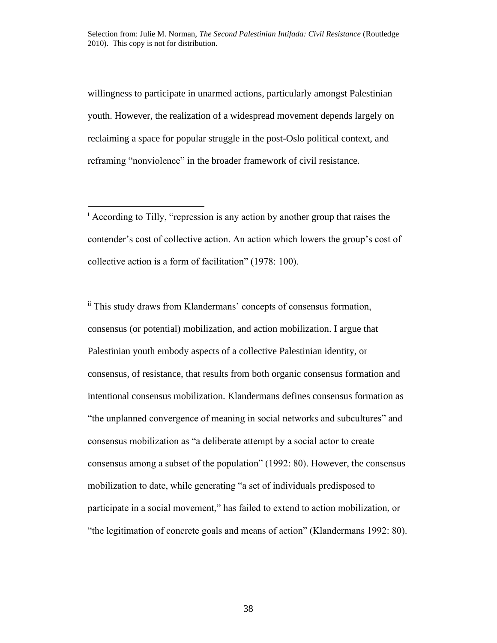willingness to participate in unarmed actions, particularly amongst Palestinian youth. However, the realization of a widespread movement depends largely on reclaiming a space for popular struggle in the post-Oslo political context, and reframing "nonviolence" in the broader framework of civil resistance.

<sup>i</sup> According to Tilly, "repression is any action by another group that raises the contender's cost of collective action. An action which lowers the group's cost of collective action is a form of facilitation" (1978: 100).

ii This study draws from Klandermans' concepts of consensus formation, consensus (or potential) mobilization, and action mobilization. I argue that Palestinian youth embody aspects of a collective Palestinian identity, or consensus, of resistance, that results from both organic consensus formation and intentional consensus mobilization. Klandermans defines consensus formation as "the unplanned convergence of meaning in social networks and subcultures" and consensus mobilization as "a deliberate attempt by a social actor to create consensus among a subset of the population" (1992: 80). However, the consensus mobilization to date, while generating "a set of individuals predisposed to participate in a social movement," has failed to extend to action mobilization, or "the legitimation of concrete goals and means of action" (Klandermans 1992: 80).